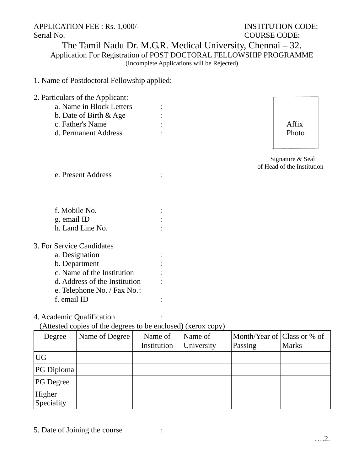APPLICATION FEE : Rs. 1,000/- INSTITUTION CODE: Serial No. COURSE CODE:

## The Tamil Nadu Dr. M.G.R. Medical University, Chennai – 32. Application For Registration of POST DOCTORAL FELLOWSHIP PROGRAMME (Incomplete Applications will be Rejected)

## 1. Name of Postdoctoral Fellowship applied:

| 2. Particulars of the Applicant:                     |                |                                                |
|------------------------------------------------------|----------------|------------------------------------------------|
| a. Name in Block Letters                             |                |                                                |
| b. Date of Birth & Age                               |                |                                                |
| c. Father's Name                                     |                | Affix                                          |
| d. Permanent Address                                 |                | Photo                                          |
|                                                      |                | Signature & Seal<br>of Head of the Institution |
| e. Present Address                                   |                |                                                |
| f. Mobile No.                                        |                |                                                |
| g. email ID                                          |                |                                                |
| h. Land Line No.                                     |                |                                                |
| 3. For Service Candidates                            |                |                                                |
| a. Designation                                       |                |                                                |
| b. Department                                        |                |                                                |
| c. Name of the Institution                           |                |                                                |
| d. Address of the Institution                        |                |                                                |
| e. Telephone No. / Fax No.:<br>f. email ID           | $\ddot{\cdot}$ |                                                |
| $A = \lambda - 1 - $ ; $\Omega - 1$ ; $\Omega - 1$ ; |                |                                                |

# 4. Academic Qualification :

# (Attested copies of the degrees to be enclosed) (xerox copy)

| Degree               | Name of Degree | Name of<br>Institution | Name of<br>University | Month/Year of Class or % of<br>Passing | <b>Marks</b> |
|----------------------|----------------|------------------------|-----------------------|----------------------------------------|--------------|
| <b>UG</b>            |                |                        |                       |                                        |              |
| <b>PG</b> Diploma    |                |                        |                       |                                        |              |
| <b>PG</b> Degree     |                |                        |                       |                                        |              |
| Higher<br>Speciality |                |                        |                       |                                        |              |

5. Date of Joining the course :